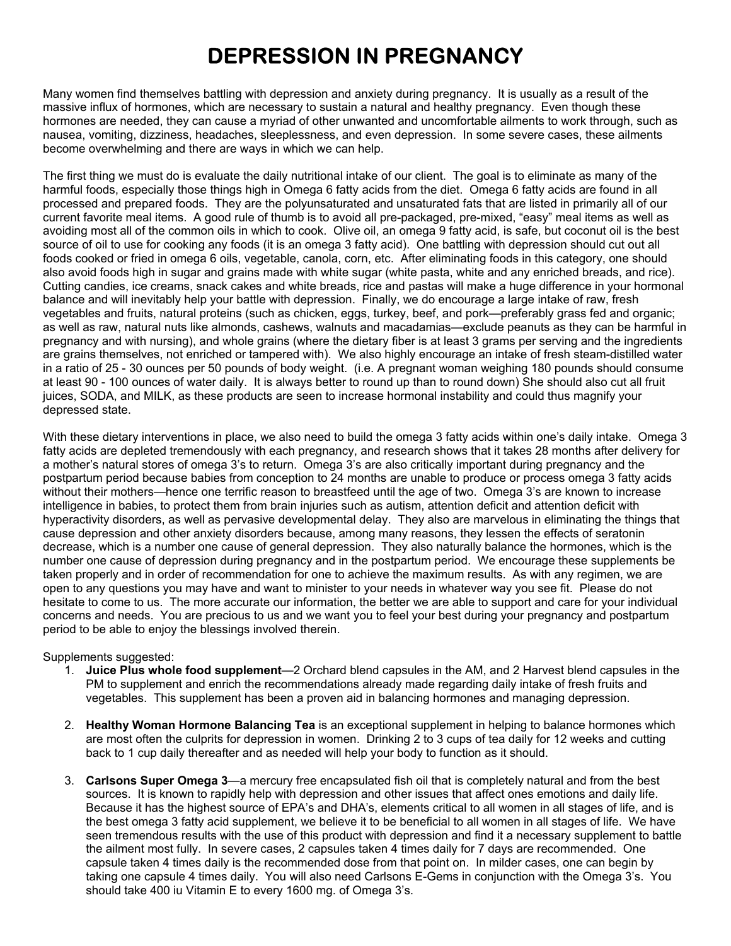## **DEPRESSION IN PREGNANCY**

Many women find themselves battling with depression and anxiety during pregnancy. It is usually as a result of the massive influx of hormones, which are necessary to sustain a natural and healthy pregnancy. Even though these hormones are needed, they can cause a myriad of other unwanted and uncomfortable ailments to work through, such as nausea, vomiting, dizziness, headaches, sleeplessness, and even depression. In some severe cases, these ailments become overwhelming and there are ways in which we can help.

The first thing we must do is evaluate the daily nutritional intake of our client. The goal is to eliminate as many of the harmful foods, especially those things high in Omega 6 fatty acids from the diet. Omega 6 fatty acids are found in all processed and prepared foods. They are the polyunsaturated and unsaturated fats that are listed in primarily all of our current favorite meal items. A good rule of thumb is to avoid all pre-packaged, pre-mixed, "easy" meal items as well as avoiding most all of the common oils in which to cook. Olive oil, an omega 9 fatty acid, is safe, but coconut oil is the best source of oil to use for cooking any foods (it is an omega 3 fatty acid). One battling with depression should cut out all foods cooked or fried in omega 6 oils, vegetable, canola, corn, etc. After eliminating foods in this category, one should also avoid foods high in sugar and grains made with white sugar (white pasta, white and any enriched breads, and rice). Cutting candies, ice creams, snack cakes and white breads, rice and pastas will make a huge difference in your hormonal balance and will inevitably help your battle with depression. Finally, we do encourage a large intake of raw, fresh vegetables and fruits, natural proteins (such as chicken, eggs, turkey, beef, and pork—preferably grass fed and organic; as well as raw, natural nuts like almonds, cashews, walnuts and macadamias—exclude peanuts as they can be harmful in pregnancy and with nursing), and whole grains (where the dietary fiber is at least 3 grams per serving and the ingredients are grains themselves, not enriched or tampered with). We also highly encourage an intake of fresh steam-distilled water in a ratio of 25 - 30 ounces per 50 pounds of body weight. (i.e. A pregnant woman weighing 180 pounds should consume at least 90 - 100 ounces of water daily. It is always better to round up than to round down) She should also cut all fruit juices, SODA, and MILK, as these products are seen to increase hormonal instability and could thus magnify your depressed state.

With these dietary interventions in place, we also need to build the omega 3 fatty acids within one's daily intake. Omega 3 fatty acids are depleted tremendously with each pregnancy, and research shows that it takes 28 months after delivery for a mother's natural stores of omega 3's to return. Omega 3's are also critically important during pregnancy and the postpartum period because babies from conception to 24 months are unable to produce or process omega 3 fatty acids without their mothers—hence one terrific reason to breastfeed until the age of two. Omega 3's are known to increase intelligence in babies, to protect them from brain injuries such as autism, attention deficit and attention deficit with hyperactivity disorders, as well as pervasive developmental delay. They also are marvelous in eliminating the things that cause depression and other anxiety disorders because, among many reasons, they lessen the effects of seratonin decrease, which is a number one cause of general depression. They also naturally balance the hormones, which is the number one cause of depression during pregnancy and in the postpartum period. We encourage these supplements be taken properly and in order of recommendation for one to achieve the maximum results. As with any regimen, we are open to any questions you may have and want to minister to your needs in whatever way you see fit. Please do not hesitate to come to us. The more accurate our information, the better we are able to support and care for your individual concerns and needs. You are precious to us and we want you to feel your best during your pregnancy and postpartum period to be able to enjoy the blessings involved therein.

## Supplements suggested:

- 1. **Juice Plus whole food supplement**—2 Orchard blend capsules in the AM, and 2 Harvest blend capsules in the PM to supplement and enrich the recommendations already made regarding daily intake of fresh fruits and vegetables. This supplement has been a proven aid in balancing hormones and managing depression.
- 2. **Healthy Woman Hormone Balancing Tea** is an exceptional supplement in helping to balance hormones which are most often the culprits for depression in women. Drinking 2 to 3 cups of tea daily for 12 weeks and cutting back to 1 cup daily thereafter and as needed will help your body to function as it should.
- 3. **Carlsons Super Omega 3**—a mercury free encapsulated fish oil that is completely natural and from the best sources. It is known to rapidly help with depression and other issues that affect ones emotions and daily life. Because it has the highest source of EPA's and DHA's, elements critical to all women in all stages of life, and is the best omega 3 fatty acid supplement, we believe it to be beneficial to all women in all stages of life. We have seen tremendous results with the use of this product with depression and find it a necessary supplement to battle the ailment most fully. In severe cases, 2 capsules taken 4 times daily for 7 days are recommended. One capsule taken 4 times daily is the recommended dose from that point on. In milder cases, one can begin by taking one capsule 4 times daily. You will also need Carlsons E-Gems in conjunction with the Omega 3's. You should take 400 iu Vitamin E to every 1600 mg. of Omega 3's.